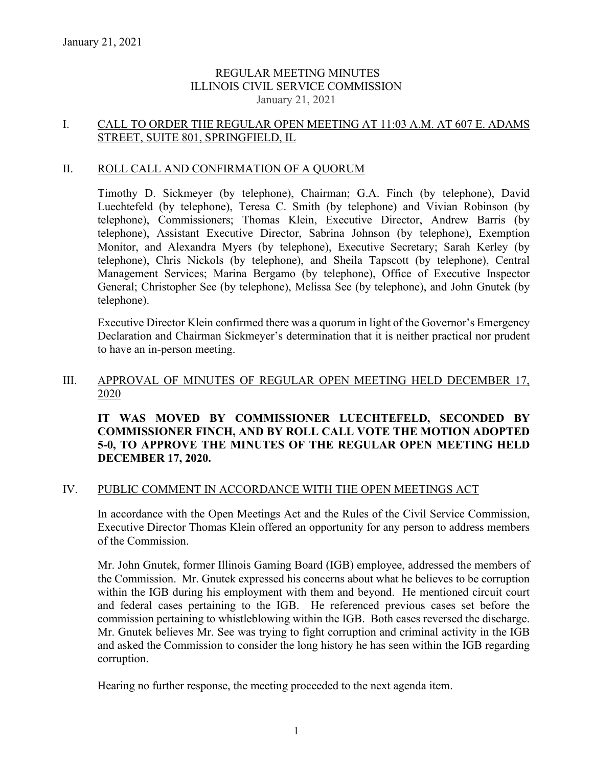## REGULAR MEETING MINUTES ILLINOIS CIVIL SERVICE COMMISSION January 21, 2021

# I. CALL TO ORDER THE REGULAR OPEN MEETING AT 11:03 A.M. AT 607 E. ADAMS STREET, SUITE 801, SPRINGFIELD, IL

## II. ROLL CALL AND CONFIRMATION OF A QUORUM

Timothy D. Sickmeyer (by telephone), Chairman; G.A. Finch (by telephone), David Luechtefeld (by telephone), Teresa C. Smith (by telephone) and Vivian Robinson (by telephone), Commissioners; Thomas Klein, Executive Director, Andrew Barris (by telephone), Assistant Executive Director, Sabrina Johnson (by telephone), Exemption Monitor, and Alexandra Myers (by telephone), Executive Secretary; Sarah Kerley (by telephone), Chris Nickols (by telephone), and Sheila Tapscott (by telephone), Central Management Services; Marina Bergamo (by telephone), Office of Executive Inspector General; Christopher See (by telephone), Melissa See (by telephone), and John Gnutek (by telephone).

Executive Director Klein confirmed there was a quorum in light of the Governor's Emergency Declaration and Chairman Sickmeyer's determination that it is neither practical nor prudent to have an in-person meeting.

### III. APPROVAL OF MINUTES OF REGULAR OPEN MEETING HELD DECEMBER 17, 2020

## **IT WAS MOVED BY COMMISSIONER LUECHTEFELD, SECONDED BY COMMISSIONER FINCH, AND BY ROLL CALL VOTE THE MOTION ADOPTED 5-0, TO APPROVE THE MINUTES OF THE REGULAR OPEN MEETING HELD DECEMBER 17, 2020.**

### IV. PUBLIC COMMENT IN ACCORDANCE WITH THE OPEN MEETINGS ACT

In accordance with the Open Meetings Act and the Rules of the Civil Service Commission, Executive Director Thomas Klein offered an opportunity for any person to address members of the Commission.

Mr. John Gnutek, former Illinois Gaming Board (IGB) employee, addressed the members of the Commission. Mr. Gnutek expressed his concerns about what he believes to be corruption within the IGB during his employment with them and beyond. He mentioned circuit court and federal cases pertaining to the IGB. He referenced previous cases set before the commission pertaining to whistleblowing within the IGB. Both cases reversed the discharge. Mr. Gnutek believes Mr. See was trying to fight corruption and criminal activity in the IGB and asked the Commission to consider the long history he has seen within the IGB regarding corruption.

Hearing no further response, the meeting proceeded to the next agenda item.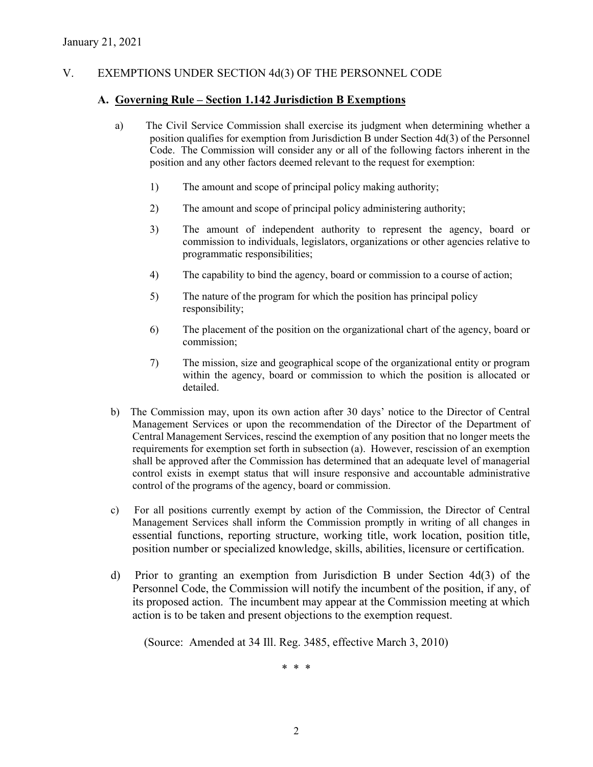# V. EXEMPTIONS UNDER SECTION 4d(3) OF THE PERSONNEL CODE

### **A. Governing Rule – Section 1.142 Jurisdiction B Exemptions**

- a) The Civil Service Commission shall exercise its judgment when determining whether a position qualifies for exemption from Jurisdiction B under Section 4d(3) of the Personnel Code. The Commission will consider any or all of the following factors inherent in the position and any other factors deemed relevant to the request for exemption:
	- 1) The amount and scope of principal policy making authority;
	- 2) The amount and scope of principal policy administering authority;
	- 3) The amount of independent authority to represent the agency, board or commission to individuals, legislators, organizations or other agencies relative to programmatic responsibilities;
	- 4) The capability to bind the agency, board or commission to a course of action;
	- 5) The nature of the program for which the position has principal policy responsibility;
	- 6) The placement of the position on the organizational chart of the agency, board or commission;
	- 7) The mission, size and geographical scope of the organizational entity or program within the agency, board or commission to which the position is allocated or detailed.
- b) The Commission may, upon its own action after 30 days' notice to the Director of Central Management Services or upon the recommendation of the Director of the Department of Central Management Services, rescind the exemption of any position that no longer meets the requirements for exemption set forth in subsection (a). However, rescission of an exemption shall be approved after the Commission has determined that an adequate level of managerial control exists in exempt status that will insure responsive and accountable administrative control of the programs of the agency, board or commission.
- c) For all positions currently exempt by action of the Commission, the Director of Central Management Services shall inform the Commission promptly in writing of all changes in essential functions, reporting structure, working title, work location, position title, position number or specialized knowledge, skills, abilities, licensure or certification.
- d) Prior to granting an exemption from Jurisdiction B under Section 4d(3) of the Personnel Code, the Commission will notify the incumbent of the position, if any, of its proposed action. The incumbent may appear at the Commission meeting at which action is to be taken and present objections to the exemption request.

(Source: Amended at 34 Ill. Reg. 3485, effective March 3, 2010)

\* \* \*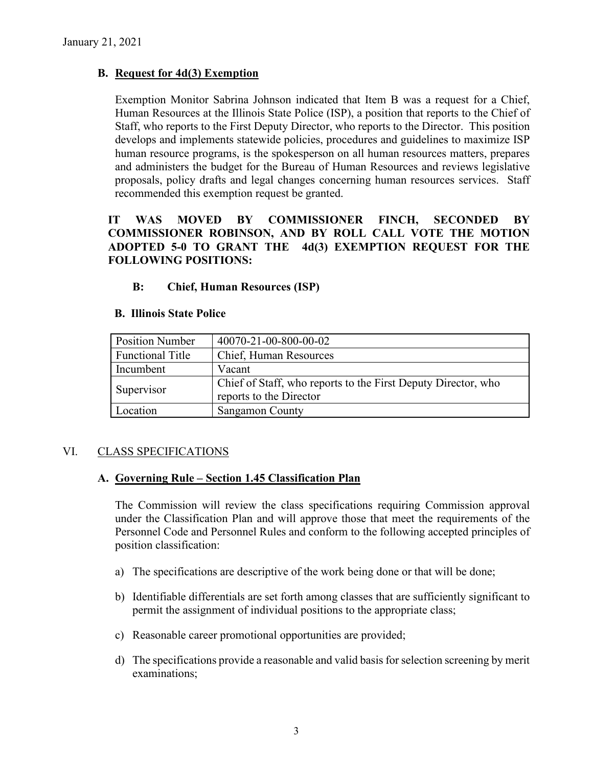# **B. Request for 4d(3) Exemption**

Exemption Monitor Sabrina Johnson indicated that Item B was a request for a Chief, Human Resources at the Illinois State Police (ISP), a position that reports to the Chief of Staff, who reports to the First Deputy Director, who reports to the Director. This position develops and implements statewide policies, procedures and guidelines to maximize ISP human resource programs, is the spokesperson on all human resources matters, prepares and administers the budget for the Bureau of Human Resources and reviews legislative proposals, policy drafts and legal changes concerning human resources services. Staff recommended this exemption request be granted.

# **IT WAS MOVED BY COMMISSIONER FINCH, SECONDED BY COMMISSIONER ROBINSON, AND BY ROLL CALL VOTE THE MOTION ADOPTED 5-0 TO GRANT THE 4d(3) EXEMPTION REQUEST FOR THE FOLLOWING POSITIONS:**

## **B: Chief, Human Resources (ISP)**

### **B. Illinois State Police**

| <b>Position Number</b>  | 40070-21-00-800-00-02                                                                    |
|-------------------------|------------------------------------------------------------------------------------------|
| <b>Functional Title</b> | Chief, Human Resources                                                                   |
| Incumbent               | Vacant                                                                                   |
| Supervisor              | Chief of Staff, who reports to the First Deputy Director, who<br>reports to the Director |
| Location                | <b>Sangamon County</b>                                                                   |

# VI. CLASS SPECIFICATIONS

# **A. Governing Rule – Section 1.45 Classification Plan**

The Commission will review the class specifications requiring Commission approval under the Classification Plan and will approve those that meet the requirements of the Personnel Code and Personnel Rules and conform to the following accepted principles of position classification:

- a) The specifications are descriptive of the work being done or that will be done;
- b) Identifiable differentials are set forth among classes that are sufficiently significant to permit the assignment of individual positions to the appropriate class;
- c) Reasonable career promotional opportunities are provided;
- d) The specifications provide a reasonable and valid basis for selection screening by merit examinations;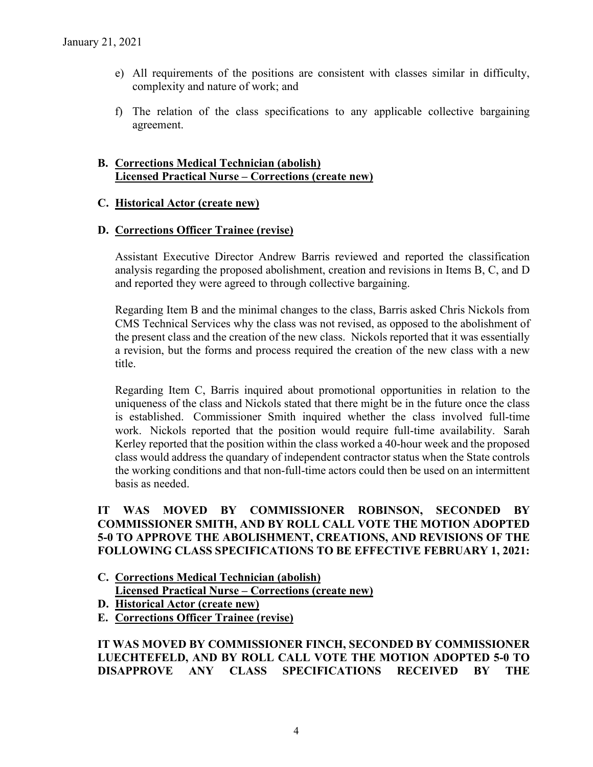- e) All requirements of the positions are consistent with classes similar in difficulty, complexity and nature of work; and
- f) The relation of the class specifications to any applicable collective bargaining agreement.

# **B. Corrections Medical Technician (abolish) Licensed Practical Nurse – Corrections (create new)**

## **C. Historical Actor (create new)**

### **D. Corrections Officer Trainee (revise)**

Assistant Executive Director Andrew Barris reviewed and reported the classification analysis regarding the proposed abolishment, creation and revisions in Items B, C, and D and reported they were agreed to through collective bargaining.

Regarding Item B and the minimal changes to the class, Barris asked Chris Nickols from CMS Technical Services why the class was not revised, as opposed to the abolishment of the present class and the creation of the new class. Nickols reported that it was essentially a revision, but the forms and process required the creation of the new class with a new title.

Regarding Item C, Barris inquired about promotional opportunities in relation to the uniqueness of the class and Nickols stated that there might be in the future once the class is established. Commissioner Smith inquired whether the class involved full-time work. Nickols reported that the position would require full-time availability. Sarah Kerley reported that the position within the class worked a 40-hour week and the proposed class would address the quandary of independent contractor status when the State controls the working conditions and that non-full-time actors could then be used on an intermittent basis as needed.

## **IT WAS MOVED BY COMMISSIONER ROBINSON, SECONDED BY COMMISSIONER SMITH, AND BY ROLL CALL VOTE THE MOTION ADOPTED 5-0 TO APPROVE THE ABOLISHMENT, CREATIONS, AND REVISIONS OF THE FOLLOWING CLASS SPECIFICATIONS TO BE EFFECTIVE FEBRUARY 1, 2021:**

- **C. Corrections Medical Technician (abolish) Licensed Practical Nurse – Corrections (create new)**
- **D. Historical Actor (create new)**
- **E. Corrections Officer Trainee (revise)**

**IT WAS MOVED BY COMMISSIONER FINCH, SECONDED BY COMMISSIONER LUECHTEFELD, AND BY ROLL CALL VOTE THE MOTION ADOPTED 5-0 TO DISAPPROVE ANY CLASS SPECIFICATIONS RECEIVED BY THE**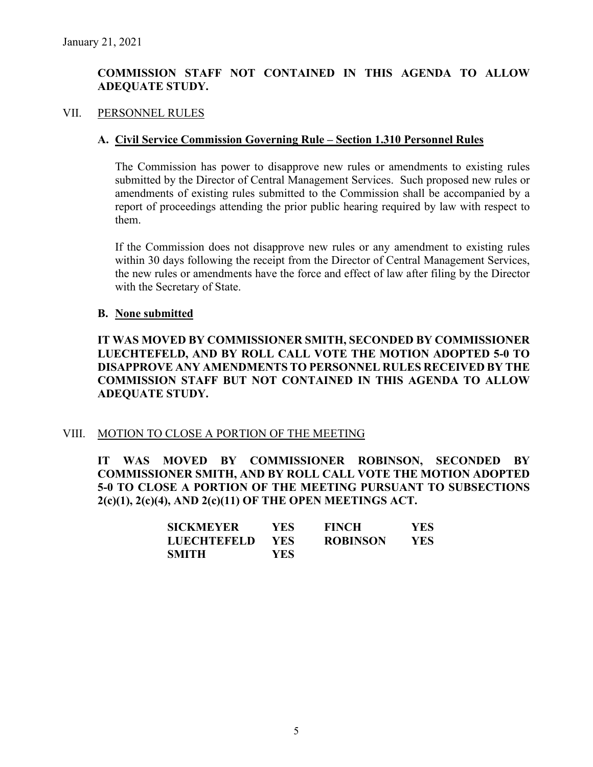# **COMMISSION STAFF NOT CONTAINED IN THIS AGENDA TO ALLOW ADEQUATE STUDY.**

#### VII. PERSONNEL RULES

#### **A. Civil Service Commission Governing Rule – Section 1.310 Personnel Rules**

The Commission has power to disapprove new rules or amendments to existing rules submitted by the Director of Central Management Services. Such proposed new rules or amendments of existing rules submitted to the Commission shall be accompanied by a report of proceedings attending the prior public hearing required by law with respect to them.

If the Commission does not disapprove new rules or any amendment to existing rules within 30 days following the receipt from the Director of Central Management Services, the new rules or amendments have the force and effect of law after filing by the Director with the Secretary of State.

#### **B. None submitted**

**IT WAS MOVED BY COMMISSIONER SMITH, SECONDED BY COMMISSIONER LUECHTEFELD, AND BY ROLL CALL VOTE THE MOTION ADOPTED 5-0 TO DISAPPROVE ANY AMENDMENTS TO PERSONNEL RULES RECEIVED BY THE COMMISSION STAFF BUT NOT CONTAINED IN THIS AGENDA TO ALLOW ADEQUATE STUDY.** 

### VIII. MOTION TO CLOSE A PORTION OF THE MEETING

**IT WAS MOVED BY COMMISSIONER ROBINSON, SECONDED BY COMMISSIONER SMITH, AND BY ROLL CALL VOTE THE MOTION ADOPTED 5-0 TO CLOSE A PORTION OF THE MEETING PURSUANT TO SUBSECTIONS 2(c)(1), 2(c)(4), AND 2(c)(11) OF THE OPEN MEETINGS ACT.**

| <b>SICKMEYER</b>   | YES. | <b>FINCH</b>    | YES. |
|--------------------|------|-----------------|------|
| <b>LUECHTEFELD</b> | YES  | <b>ROBINSON</b> | YES. |
| <b>SMITH</b>       | YES  |                 |      |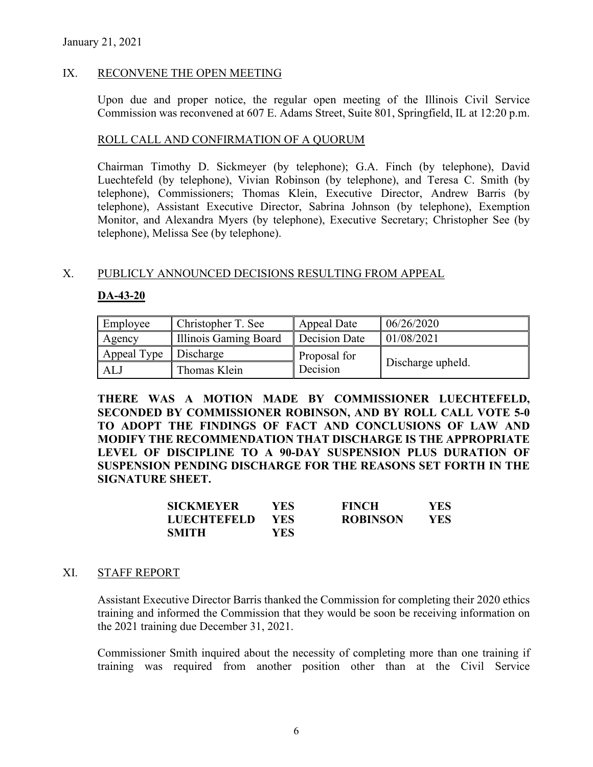## IX. RECONVENE THE OPEN MEETING

Upon due and proper notice, the regular open meeting of the Illinois Civil Service Commission was reconvened at 607 E. Adams Street, Suite 801, Springfield, IL at 12:20 p.m.

### ROLL CALL AND CONFIRMATION OF A QUORUM

Chairman Timothy D. Sickmeyer (by telephone); G.A. Finch (by telephone), David Luechtefeld (by telephone), Vivian Robinson (by telephone), and Teresa C. Smith (by telephone), Commissioners; Thomas Klein, Executive Director, Andrew Barris (by telephone), Assistant Executive Director, Sabrina Johnson (by telephone), Exemption Monitor, and Alexandra Myers (by telephone), Executive Secretary; Christopher See (by telephone), Melissa See (by telephone).

### X. PUBLICLY ANNOUNCED DECISIONS RESULTING FROM APPEAL

## **DA-43-20**

| Employee                | Christopher T. See    | Appeal Date   | 06/26/2020        |
|-------------------------|-----------------------|---------------|-------------------|
| Agency                  | Illinois Gaming Board | Decision Date | 01/08/2021        |
| Appeal Type   Discharge |                       | Proposal for  |                   |
| AL J                    | Thomas Klein          | Decision      | Discharge upheld. |

**THERE WAS A MOTION MADE BY COMMISSIONER LUECHTEFELD, SECONDED BY COMMISSIONER ROBINSON, AND BY ROLL CALL VOTE 5-0 TO ADOPT THE FINDINGS OF FACT AND CONCLUSIONS OF LAW AND MODIFY THE RECOMMENDATION THAT DISCHARGE IS THE APPROPRIATE LEVEL OF DISCIPLINE TO A 90-DAY SUSPENSION PLUS DURATION OF SUSPENSION PENDING DISCHARGE FOR THE REASONS SET FORTH IN THE SIGNATURE SHEET.** 

| SICKMEYER          | YES. | <b>FINCH</b>    | YES |
|--------------------|------|-----------------|-----|
| <b>LUECHTEFELD</b> | YES. | <b>ROBINSON</b> | YES |
| SMITH              | YES  |                 |     |

### XI. STAFF REPORT

Assistant Executive Director Barris thanked the Commission for completing their 2020 ethics training and informed the Commission that they would be soon be receiving information on the 2021 training due December 31, 2021.

Commissioner Smith inquired about the necessity of completing more than one training if training was required from another position other than at the Civil Service